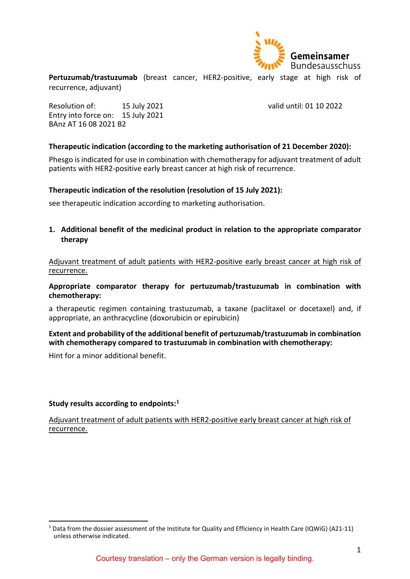

**Pertuzumab/trastuzumab** (breast cancer, HER2-positive, early stage at high risk of recurrence, adjuvant)

Resolution of: 15 July 2021 valid until: 01 10 2022 Entry into force on: 15 July 2021 BAnz AT 16 08 2021 B2

### **Therapeutic indication (according to the marketing authorisation of 21 December 2020):**

Phesgo is indicated for use in combination with chemotherapy for adjuvant treatment of adult patients with HER2-positive early breast cancer at high risk of recurrence.

### **Therapeutic indication of the resolution (resolution of 15 July 2021):**

see therapeutic indication according to marketing authorisation.

**1. Additional benefit of the medicinal product in relation to the appropriate comparator therapy**

Adjuvant treatment of adult patients with HER2-positive early breast cancer at high risk of recurrence.

### **Appropriate comparator therapy for pertuzumab/trastuzumab in combination with chemotherapy:**

a therapeutic regimen containing trastuzumab, a taxane (paclitaxel or docetaxel) and, if appropriate, an anthracycline (doxorubicin or epirubicin)

# **Extent and probability of the additional benefit of pertuzumab/trastuzumab in combination with chemotherapy compared to trastuzumab in combination with chemotherapy:**

Hint for a minor additional benefit.

#### **Study results according to endpoints:[1](#page-0-0)**

Adjuvant treatment of adult patients with HER2-positive early breast cancer at high risk of recurrence.

<span id="page-0-0"></span> <sup>1</sup> Data from the dossier assessment of the Institute for Quality and Efficiency in Health Care (IQWiG) (A21-11) unless otherwise indicated.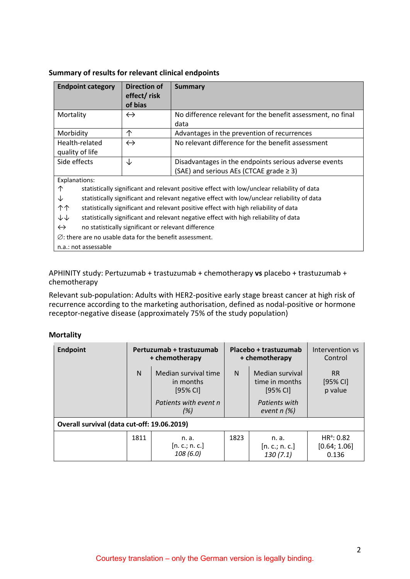| <b>Endpoint category</b>                                           | Direction of<br>effect/risk<br>of bias                                               | Summary                                                                                     |  |  |
|--------------------------------------------------------------------|--------------------------------------------------------------------------------------|---------------------------------------------------------------------------------------------|--|--|
| Mortality                                                          | $\leftrightarrow$                                                                    | No difference relevant for the benefit assessment, no final<br>data                         |  |  |
| Morbidity                                                          | 个                                                                                    | Advantages in the prevention of recurrences                                                 |  |  |
| Health-related<br>quality of life                                  | $\leftrightarrow$                                                                    | No relevant difference for the benefit assessment                                           |  |  |
| Side effects                                                       | ↓                                                                                    | Disadvantages in the endpoints serious adverse events                                       |  |  |
|                                                                    |                                                                                      | (SAE) and serious AEs (CTCAE grade $\geq$ 3)                                                |  |  |
| Explanations:                                                      |                                                                                      |                                                                                             |  |  |
| ↑                                                                  |                                                                                      | statistically significant and relevant positive effect with low/unclear reliability of data |  |  |
| ↓                                                                  |                                                                                      | statistically significant and relevant negative effect with low/unclear reliability of data |  |  |
| ተ ተ                                                                |                                                                                      | statistically significant and relevant positive effect with high reliability of data        |  |  |
| ↓↓                                                                 | statistically significant and relevant negative effect with high reliability of data |                                                                                             |  |  |
| $\leftrightarrow$                                                  | no statistically significant or relevant difference                                  |                                                                                             |  |  |
| $\emptyset$ : there are no usable data for the benefit assessment. |                                                                                      |                                                                                             |  |  |
| n.a.: not assessable                                               |                                                                                      |                                                                                             |  |  |

# **Summary of results for relevant clinical endpoints**

APHINITY study: Pertuzumab + trastuzumab + chemotherapy **vs** placebo + trastuzumab + chemotherapy

Relevant sub-population: Adults with HER2-positive early stage breast cancer at high risk of recurrence according to the marketing authorisation, defined as nodal-positive or hormone receptor-negative disease (approximately 75% of the study population)

#### **Mortality**

| <b>Endpoint</b>                             | Pertuzumab + trastuzumab<br>+ chemotherapy                                           |                                   | Placebo + trastuzumab<br>+ chemotherapy |                                                                                   | Intervention vs<br>Control            |
|---------------------------------------------|--------------------------------------------------------------------------------------|-----------------------------------|-----------------------------------------|-----------------------------------------------------------------------------------|---------------------------------------|
|                                             | Median survival time<br>N<br>in months<br>$[95%$ CI]<br>Patients with event n<br>(%) |                                   | N                                       | Median survival<br>time in months<br>$[95%$ CI]<br>Patients with<br>event $n$ (%) | RR.<br>[95% CI]<br>p value            |
| Overall survival (data cut-off: 19.06.2019) |                                                                                      |                                   |                                         |                                                                                   |                                       |
|                                             | 1811                                                                                 | n. a.<br>[n.c.; n.c.]<br>108(6.0) | 1823                                    | n. a.<br>[n.c.; n.c.]<br>130(7.1)                                                 | $HR^a: 0.82$<br>[0.64; 1.06]<br>0.136 |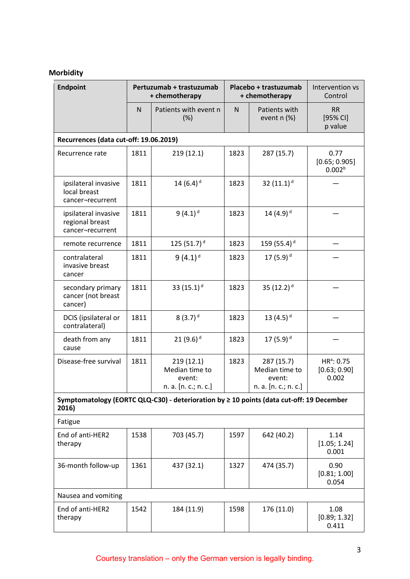# **Morbidity**

| <b>Endpoint</b>                                                                                   | Pertuzumab + trastuzumab<br>+ chemotherapy |                                                               |      | Placebo + trastuzumab<br>+ chemotherapy                        | Intervention vs<br>Control                  |  |
|---------------------------------------------------------------------------------------------------|--------------------------------------------|---------------------------------------------------------------|------|----------------------------------------------------------------|---------------------------------------------|--|
|                                                                                                   | N                                          | Patients with event n<br>(%)                                  | N    | Patients with<br>event n (%)                                   | <b>RR</b><br>[95% CI]<br>p value            |  |
|                                                                                                   | Recurrences (data cut-off: 19.06.2019)     |                                                               |      |                                                                |                                             |  |
| Recurrence rate                                                                                   | 1811                                       | 219(12.1)                                                     | 1823 | 287 (15.7)                                                     | 0.77<br>[0.65; 0.905]<br>0.002 <sup>b</sup> |  |
| ipsilateral invasive<br>local breast<br>cancer-recurrent                                          | 1811                                       | 14 $(6.4)^d$                                                  | 1823 | 32 $(11.1)^d$                                                  |                                             |  |
| ipsilateral invasive<br>regional breast<br>cancer-recurrent                                       | 1811                                       | $9(4.1)^d$                                                    | 1823 | 14 $(4.9)^d$                                                   |                                             |  |
| remote recurrence                                                                                 | 1811                                       | 125 (51.7) $d$                                                | 1823 | 159 (55.4) <sup>d</sup>                                        |                                             |  |
| contralateral<br>invasive breast<br>cancer                                                        | 1811                                       | $9(4.1)$ <sup>d</sup>                                         | 1823 | 17 $(5.9)^d$                                                   |                                             |  |
| secondary primary<br>cancer (not breast<br>cancer)                                                | 1811                                       | 33 $(15.1)^d$                                                 | 1823 | 35 $(12.2)^d$                                                  |                                             |  |
| DCIS (ipsilateral or<br>contralateral)                                                            | 1811                                       | $8(3.7)^d$                                                    | 1823 | 13 $(4.5)^d$                                                   |                                             |  |
| death from any<br>cause                                                                           | 1811                                       | 21 $(9.6)^d$                                                  | 1823 | 17 $(5.9)^d$                                                   |                                             |  |
| Disease-free survival                                                                             | 1811                                       | 219(12.1)<br>Median time to<br>event:<br>n. a. [n. c.; n. c.] | 1823 | 287 (15.7)<br>Median time to<br>event:<br>n. a. [n. c.; n. c.] | $HR^a$ : 0.75<br>[0.63; 0.90]<br>0.002      |  |
| Symptomatology (EORTC QLQ-C30) - deterioration by ≥ 10 points (data cut-off: 19 December<br>2016) |                                            |                                                               |      |                                                                |                                             |  |
| Fatigue                                                                                           |                                            |                                                               |      |                                                                |                                             |  |
| End of anti-HER2<br>therapy                                                                       | 1538                                       | 703 (45.7)                                                    | 1597 | 642 (40.2)                                                     | 1.14<br>[1.05; 1.24]<br>0.001               |  |
| 36-month follow-up                                                                                | 1361                                       | 437 (32.1)                                                    | 1327 | 474 (35.7)                                                     | 0.90<br>[0.81; 1.00]<br>0.054               |  |
| Nausea and vomiting                                                                               |                                            |                                                               |      |                                                                |                                             |  |
| End of anti-HER2<br>therapy                                                                       | 1542                                       | 184 (11.9)                                                    | 1598 | 176 (11.0)                                                     | 1.08<br>[0.89; 1.32]<br>0.411               |  |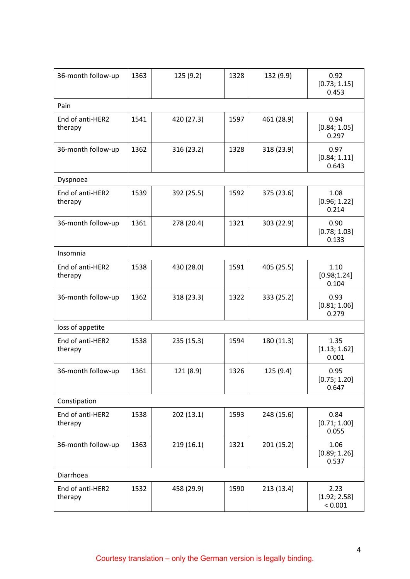| 36-month follow-up          | 1363 | 125 (9.2)  | 1328 | 132 (9.9)  | 0.92<br>[0.73; 1.15]<br>0.453   |
|-----------------------------|------|------------|------|------------|---------------------------------|
| Pain                        |      |            |      |            |                                 |
| End of anti-HER2<br>therapy | 1541 | 420 (27.3) | 1597 | 461 (28.9) | 0.94<br>[0.84; 1.05]<br>0.297   |
| 36-month follow-up          | 1362 | 316 (23.2) | 1328 | 318 (23.9) | 0.97<br>[0.84; 1.11]<br>0.643   |
| Dyspnoea                    |      |            |      |            |                                 |
| End of anti-HER2<br>therapy | 1539 | 392 (25.5) | 1592 | 375 (23.6) | 1.08<br>[0.96; 1.22]<br>0.214   |
| 36-month follow-up          | 1361 | 278 (20.4) | 1321 | 303 (22.9) | 0.90<br>[0.78; 1.03]<br>0.133   |
| Insomnia                    |      |            |      |            |                                 |
| End of anti-HER2<br>therapy | 1538 | 430 (28.0) | 1591 | 405 (25.5) | 1.10<br>[0.98; 1.24]<br>0.104   |
| 36-month follow-up          | 1362 | 318 (23.3) | 1322 | 333 (25.2) | 0.93<br>[0.81; 1.06]<br>0.279   |
| loss of appetite            |      |            |      |            |                                 |
| End of anti-HER2<br>therapy | 1538 | 235 (15.3) | 1594 | 180 (11.3) | 1.35<br>[1.13; 1.62]<br>0.001   |
| 36-month follow-up          | 1361 | 121 (8.9)  | 1326 | 125 (9.4)  | 0.95<br>[0.75; 1.20]<br>0.647   |
| Constipation                |      |            |      |            |                                 |
| End of anti-HER2<br>therapy | 1538 | 202 (13.1) | 1593 | 248 (15.6) | 0.84<br>[0.71; 1.00]<br>0.055   |
| 36-month follow-up          | 1363 | 219(16.1)  | 1321 | 201 (15.2) | 1.06<br>[0.89; 1.26]<br>0.537   |
| Diarrhoea                   |      |            |      |            |                                 |
| End of anti-HER2<br>therapy | 1532 | 458 (29.9) | 1590 | 213 (13.4) | 2.23<br>[1.92; 2.58]<br>< 0.001 |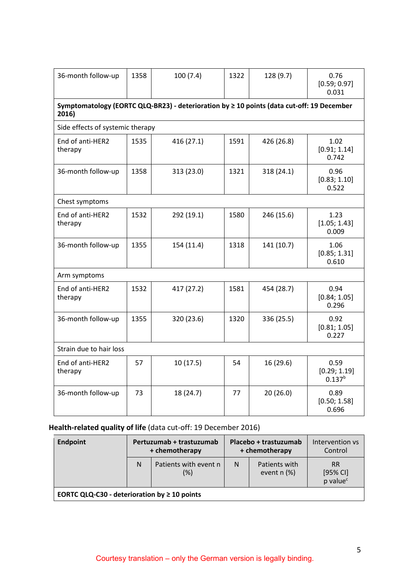| 36-month follow-up               | 1358                                                                                      | 100(7.4)   | 1322 | 128 (9.7)  | 0.76<br>[0.59; 0.97]<br>0.031       |  |
|----------------------------------|-------------------------------------------------------------------------------------------|------------|------|------------|-------------------------------------|--|
| 2016)                            | Symptomatology (EORTC QLQ-BR23) - deterioration by ≥ 10 points (data cut-off: 19 December |            |      |            |                                     |  |
| Side effects of systemic therapy |                                                                                           |            |      |            |                                     |  |
| End of anti-HER2<br>therapy      | 1535                                                                                      | 416 (27.1) | 1591 | 426 (26.8) | 1.02<br>[0.91; 1.14]<br>0.742       |  |
| 36-month follow-up               | 1358                                                                                      | 313 (23.0) | 1321 | 318 (24.1) | 0.96<br>[0.83; 1.10]<br>0.522       |  |
| Chest symptoms                   |                                                                                           |            |      |            |                                     |  |
| End of anti-HER2<br>therapy      | 1532                                                                                      | 292 (19.1) | 1580 | 246 (15.6) | 1.23<br>[1.05; 1.43]<br>0.009       |  |
| 36-month follow-up               | 1355                                                                                      | 154 (11.4) | 1318 | 141 (10.7) | 1.06<br>[0.85; 1.31]<br>0.610       |  |
| Arm symptoms                     |                                                                                           |            |      |            |                                     |  |
| End of anti-HER2<br>therapy      | 1532                                                                                      | 417 (27.2) | 1581 | 454 (28.7) | 0.94<br>[0.84; 1.05]<br>0.296       |  |
| 36-month follow-up               | 1355                                                                                      | 320 (23.6) | 1320 | 336 (25.5) | 0.92<br>[0.81; 1.05]<br>0.227       |  |
| Strain due to hair loss          |                                                                                           |            |      |            |                                     |  |
| End of anti-HER2<br>therapy      | 57                                                                                        | 10(17.5)   | 54   | 16 (29.6)  | 0.59<br>[0.29; 1.19]<br>$0.137^{b}$ |  |
| 36-month follow-up               | 73                                                                                        | 18 (24.7)  | 77   | 20(26.0)   | 0.89<br>[0.50; 1.58]<br>0.696       |  |
|                                  |                                                                                           |            |      |            |                                     |  |

# **Health-related quality of life** (data cut-off: 19 December 2016)

| <b>Endpoint</b>                                   | Pertuzumab + trastuzumab<br>+ chemotherapy |                                 | Placebo + trastuzumab<br>+ chemotherapy |                                | Intervention vs<br>Control                    |
|---------------------------------------------------|--------------------------------------------|---------------------------------|-----------------------------------------|--------------------------------|-----------------------------------------------|
|                                                   | N                                          | Patients with event n<br>$(\%)$ | N                                       | Patients with<br>event $n$ (%) | <b>RR</b><br>[95% CI]<br>p value <sup>c</sup> |
| EORTC QLQ-C30 - deterioration by $\geq 10$ points |                                            |                                 |                                         |                                |                                               |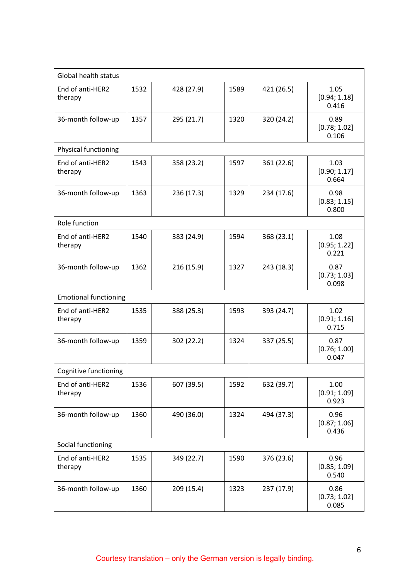| Global health status         |      |            |      |            |                               |
|------------------------------|------|------------|------|------------|-------------------------------|
| End of anti-HER2<br>therapy  | 1532 | 428 (27.9) | 1589 | 421 (26.5) | 1.05<br>[0.94; 1.18]<br>0.416 |
| 36-month follow-up           | 1357 | 295 (21.7) | 1320 | 320 (24.2) | 0.89<br>[0.78; 1.02]<br>0.106 |
| Physical functioning         |      |            |      |            |                               |
| End of anti-HER2<br>therapy  | 1543 | 358 (23.2) | 1597 | 361 (22.6) | 1.03<br>[0.90; 1.17]<br>0.664 |
| 36-month follow-up           | 1363 | 236 (17.3) | 1329 | 234 (17.6) | 0.98<br>[0.83; 1.15]<br>0.800 |
| Role function                |      |            |      |            |                               |
| End of anti-HER2<br>therapy  | 1540 | 383 (24.9) | 1594 | 368 (23.1) | 1.08<br>[0.95; 1.22]<br>0.221 |
| 36-month follow-up           | 1362 | 216 (15.9) | 1327 | 243 (18.3) | 0.87<br>[0.73; 1.03]<br>0.098 |
| <b>Emotional functioning</b> |      |            |      |            |                               |
| End of anti-HER2<br>therapy  | 1535 | 388 (25.3) | 1593 | 393 (24.7) | 1.02<br>[0.91; 1.16]<br>0.715 |
| 36-month follow-up           | 1359 | 302 (22.2) | 1324 | 337 (25.5) | 0.87<br>[0.76; 1.00]<br>0.047 |
| Cognitive functioning        |      |            |      |            |                               |
| End of anti-HER2<br>therapy  | 1536 | 607 (39.5) | 1592 | 632 (39.7) | 1.00<br>[0.91; 1.09]<br>0.923 |
| 36-month follow-up           | 1360 | 490 (36.0) | 1324 | 494 (37.3) | 0.96<br>[0.87; 1.06]<br>0.436 |
| Social functioning           |      |            |      |            |                               |
| End of anti-HER2<br>therapy  | 1535 | 349 (22.7) | 1590 | 376 (23.6) | 0.96<br>[0.85; 1.09]<br>0.540 |
| 36-month follow-up           | 1360 | 209 (15.4) | 1323 | 237 (17.9) | 0.86<br>[0.73; 1.02]<br>0.085 |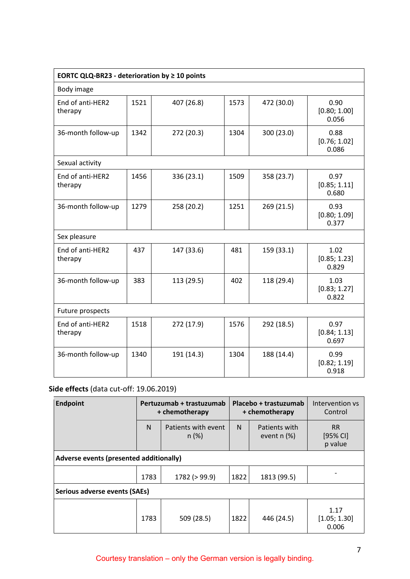| <b>EORTC QLQ-BR23 - deterioration by <math>\geq 10</math> points</b> |      |            |      |            |                               |
|----------------------------------------------------------------------|------|------------|------|------------|-------------------------------|
| Body image                                                           |      |            |      |            |                               |
| End of anti-HER2<br>therapy                                          | 1521 | 407 (26.8) | 1573 | 472 (30.0) | 0.90<br>[0.80; 1.00]<br>0.056 |
| 36-month follow-up                                                   | 1342 | 272 (20.3) | 1304 | 300 (23.0) | 0.88<br>[0.76; 1.02]<br>0.086 |
| Sexual activity                                                      |      |            |      |            |                               |
| End of anti-HER2<br>therapy                                          | 1456 | 336 (23.1) | 1509 | 358 (23.7) | 0.97<br>[0.85; 1.11]<br>0.680 |
| 36-month follow-up                                                   | 1279 | 258 (20.2) | 1251 | 269 (21.5) | 0.93<br>[0.80; 1.09]<br>0.377 |
| Sex pleasure                                                         |      |            |      |            |                               |
| End of anti-HER2<br>therapy                                          | 437  | 147 (33.6) | 481  | 159 (33.1) | 1.02<br>[0.85; 1.23]<br>0.829 |
| 36-month follow-up                                                   | 383  | 113 (29.5) | 402  | 118 (29.4) | 1.03<br>[0.83; 1.27]<br>0.822 |
| Future prospects                                                     |      |            |      |            |                               |
| End of anti-HER2<br>therapy                                          | 1518 | 272 (17.9) | 1576 | 292 (18.5) | 0.97<br>[0.84; 1.13]<br>0.697 |
| 36-month follow-up                                                   | 1340 | 191 (14.3) | 1304 | 188 (14.4) | 0.99<br>[0.82; 1.19]<br>0.918 |

# **Side effects** (data cut-off: 19.06.2019)

| <b>Endpoint</b>                         | Pertuzumab + trastuzumab<br>+ chemotherapy |                             | Placebo + trastuzumab<br>+ chemotherapy |                                | Intervention vs<br>Control         |
|-----------------------------------------|--------------------------------------------|-----------------------------|-----------------------------------------|--------------------------------|------------------------------------|
|                                         | N                                          | Patients with event<br>n(%) | N                                       | Patients with<br>event $n$ (%) | <b>RR</b><br>$[95%$ CI]<br>p value |
| Adverse events (presented additionally) |                                            |                             |                                         |                                |                                    |
|                                         | 1783                                       | 1782 (> 99.9)               | 1822                                    | 1813 (99.5)                    |                                    |
| Serious adverse events (SAEs)           |                                            |                             |                                         |                                |                                    |
|                                         | 1783                                       | 509 (28.5)                  | 1822                                    | 446 (24.5)                     | 1.17<br>[1.05; 1.30]<br>0.006      |

# Courtesy translation – only the German version is legally binding.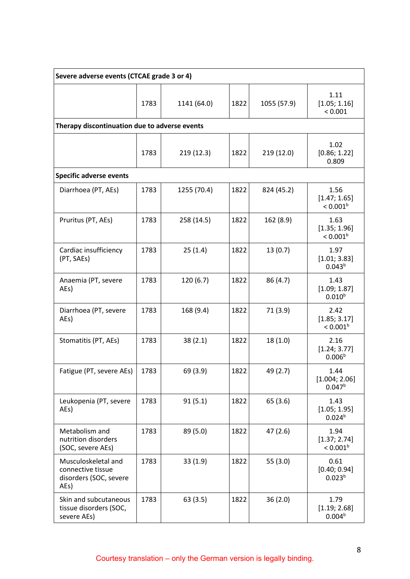| Severe adverse events (CTCAE grade 3 or 4)                                 |      |             |      |             |                                              |
|----------------------------------------------------------------------------|------|-------------|------|-------------|----------------------------------------------|
|                                                                            | 1783 | 1141 (64.0) | 1822 | 1055 (57.9) | 1.11<br>[1.05; 1.16]<br>< 0.001              |
| Therapy discontinuation due to adverse events                              |      |             |      |             |                                              |
|                                                                            | 1783 | 219 (12.3)  | 1822 | 219 (12.0)  | 1.02<br>[0.86; 1.22]<br>0.809                |
| <b>Specific adverse events</b>                                             |      |             |      |             |                                              |
| Diarrhoea (PT, AEs)                                                        | 1783 | 1255 (70.4) | 1822 | 824 (45.2)  | 1.56<br>[1.47; 1.65]<br>< 0.001 <sup>b</sup> |
| Pruritus (PT, AEs)                                                         | 1783 | 258 (14.5)  | 1822 | 162 (8.9)   | 1.63<br>[1.35; 1.96]<br>$< 0.001^b$          |
| Cardiac insufficiency<br>(PT, SAEs)                                        | 1783 | 25(1.4)     | 1822 | 13(0.7)     | 1.97<br>[1.01; 3.83]<br>0.043 <sup>b</sup>   |
| Anaemia (PT, severe<br>AEs)                                                | 1783 | 120 (6.7)   | 1822 | 86 (4.7)    | 1.43<br>[1.09; 1.87]<br>$0.010^{b}$          |
| Diarrhoea (PT, severe<br>AEs)                                              | 1783 | 168 (9.4)   | 1822 | 71 (3.9)    | 2.42<br>[1.85; 3.17]<br>$< 0.001^b$          |
| Stomatitis (PT, AEs)                                                       | 1783 | 38(2.1)     | 1822 | 18(1.0)     | 2.16<br>[1.24; 3.77]<br>0.006 <sup>b</sup>   |
| Fatigue (PT, severe AEs)                                                   | 1783 | 69 (3.9)    | 1822 | 49 (2.7)    | 1.44<br>[1.004; 2.06]<br>0.047 <sup>b</sup>  |
| Leukopenia (PT, severe<br>AEs)                                             | 1783 | 91(5.1)     | 1822 | 65 (3.6)    | 1.43<br>[1.05; 1.95]<br>0.024 <sup>b</sup>   |
| Metabolism and<br>nutrition disorders<br>(SOC, severe AEs)                 | 1783 | 89 (5.0)    | 1822 | 47(2.6)     | 1.94<br>[1.37; 2.74]<br>$< 0.001^b$          |
| Musculoskeletal and<br>connective tissue<br>disorders (SOC, severe<br>AEs) | 1783 | 33(1.9)     | 1822 | 55(3.0)     | 0.61<br>[0.40; 0.94]<br>0.023 <sup>b</sup>   |
| Skin and subcutaneous<br>tissue disorders (SOC,<br>severe AEs)             | 1783 | 63(3.5)     | 1822 | 36(2.0)     | 1.79<br>[1.19; 2.68]<br>0.004 <sup>b</sup>   |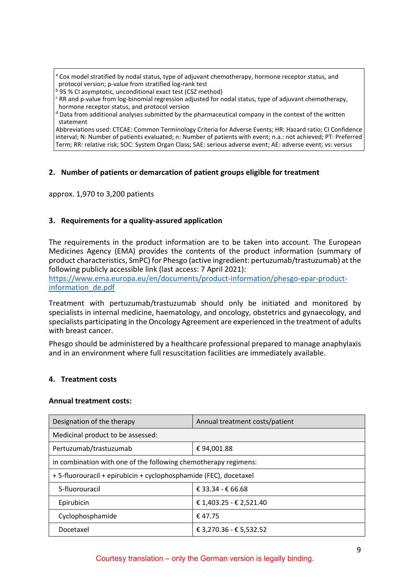Cox model stratified by nodal status, type of adjuvant chemotherapy, hormone receptor status, and protocol version; p-value from stratified log-rank test

**b** 95 % CI asymptotic, unconditional exact test (CSZ method)

 $c$  RR and p-value from log-binomial regression adjusted for nodal status, type of adjuvant chemotherapy, hormone receptor status, and protocol version

 $d$  Data from additional analyses submitted by the pharmaceutical company in the context of the written statement

Abbreviations used: CTCAE: Common Terminology Criteria for Adverse Events; HR: Hazard ratio; CI Confidence interval; N: Number of patients evaluated; n: Number of patients with event; n.a.: not achieved; PT: Preferred Term; RR: relative risk; SOC: System Organ Class; SAE: serious adverse event; AE: adverse event; vs: versus

# **2. Number of patients or demarcation of patient groups eligible for treatment**

approx. 1,970 to 3,200 patients

# **3. Requirements for a quality-assured application**

The requirements in the product information are to be taken into account. The European Medicines Agency (EMA) provides the contents of the product information (summary of product characteristics, SmPC) for Phesgo (active ingredient: pertuzumab/trastuzumab) at the following publicly accessible link (last access: 7 April 2021):

[https://www.ema.europa.eu/en/documents/product-information/phesgo-epar-product](https://www.ema.europa.eu/en/documents/product-information/phesgo-epar-product-information_de.pdf)[information\\_de.pdf](https://www.ema.europa.eu/en/documents/product-information/phesgo-epar-product-information_de.pdf)

Treatment with pertuzumab/trastuzumab should only be initiated and monitored by specialists in internal medicine, haematology, and oncology, obstetrics and gynaecology, and specialists participating in the Oncology Agreement are experienced in the treatment of adults with breast cancer.

Phesgo should be administered by a healthcare professional prepared to manage anaphylaxis and in an environment where full resuscitation facilities are immediately available.

# **4. Treatment costs**

#### **Annual treatment costs:**

| Designation of the therapy                                       | Annual treatment costs/patient |  |  |  |  |
|------------------------------------------------------------------|--------------------------------|--|--|--|--|
| Medicinal product to be assessed:                                |                                |  |  |  |  |
| Pertuzumab/trastuzumab                                           | €94,001.88                     |  |  |  |  |
| in combination with one of the following chemotherapy regimens:  |                                |  |  |  |  |
| +5-fluorouracil + epirubicin + cyclophosphamide (FEC), docetaxel |                                |  |  |  |  |
| 5-fluorouracil                                                   | € 33.34 - € 66.68              |  |  |  |  |
| Epirubicin                                                       | € 1,403.25 - € 2,521.40        |  |  |  |  |
| Cyclophosphamide                                                 | € 47.75                        |  |  |  |  |
| Docetaxel                                                        | € 3,270.36 - € 5,532.52        |  |  |  |  |

# Courtesy translation – only the German version is legally binding.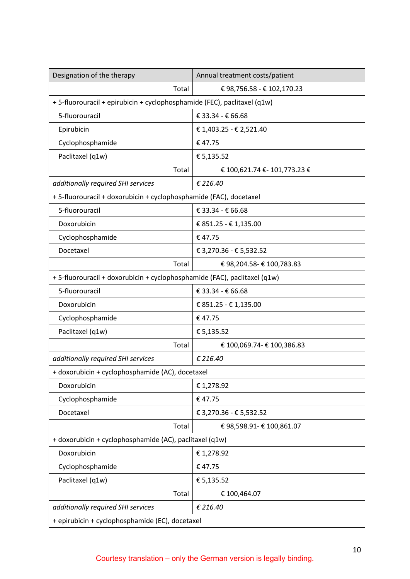| Designation of the therapy                                                | Annual treatment costs/patient |  |  |
|---------------------------------------------------------------------------|--------------------------------|--|--|
| Total                                                                     | € 98,756.58 - € 102,170.23     |  |  |
| + 5-fluorouracil + epirubicin + cyclophosphamide (FEC), paclitaxel (q1w)  |                                |  |  |
| 5-fluorouracil                                                            | € 33.34 - € 66.68              |  |  |
| Epirubicin                                                                | € 1,403.25 - € 2,521.40        |  |  |
| Cyclophosphamide                                                          | €47.75                         |  |  |
| Paclitaxel (q1w)                                                          | € 5,135.52                     |  |  |
| Total                                                                     | € 100,621.74 € - 101,773.23 €  |  |  |
| additionally required SHI services                                        | € 216.40                       |  |  |
| +5-fluorouracil + doxorubicin + cyclophosphamide (FAC), docetaxel         |                                |  |  |
| 5-fluorouracil                                                            | € 33.34 - € 66.68              |  |  |
| Doxorubicin                                                               | € 851.25 - € 1,135.00          |  |  |
| Cyclophosphamide                                                          | €47.75                         |  |  |
| Docetaxel                                                                 | € 3,270.36 - € 5,532.52        |  |  |
| Total                                                                     | € 98,204.58- € 100,783.83      |  |  |
| + 5-fluorouracil + doxorubicin + cyclophosphamide (FAC), paclitaxel (q1w) |                                |  |  |
| 5-fluorouracil                                                            | € 33.34 - € 66.68              |  |  |
| Doxorubicin                                                               | € 851.25 - € 1,135.00          |  |  |
| Cyclophosphamide                                                          | €47.75                         |  |  |
| Paclitaxel (q1w)                                                          | € 5,135.52                     |  |  |
| Total                                                                     | € 100,069.74- € 100,386.83     |  |  |
| additionally required SHI services                                        | € 216.40                       |  |  |
| + doxorubicin + cyclophosphamide (AC), docetaxel                          |                                |  |  |
| Doxorubicin                                                               | € 1,278.92                     |  |  |
| Cyclophosphamide                                                          | €47.75                         |  |  |
| Docetaxel                                                                 | € 3,270.36 - € 5,532.52        |  |  |
| Total                                                                     | € 98,598.91- € 100,861.07      |  |  |
| + doxorubicin + cyclophosphamide (AC), paclitaxel (q1w)                   |                                |  |  |
| Doxorubicin                                                               | € 1,278.92                     |  |  |
| Cyclophosphamide                                                          | €47.75                         |  |  |
| Paclitaxel (q1w)                                                          | € 5,135.52                     |  |  |
| Total                                                                     | € 100,464.07                   |  |  |
| additionally required SHI services                                        | € 216.40                       |  |  |
| + epirubicin + cyclophosphamide (EC), docetaxel                           |                                |  |  |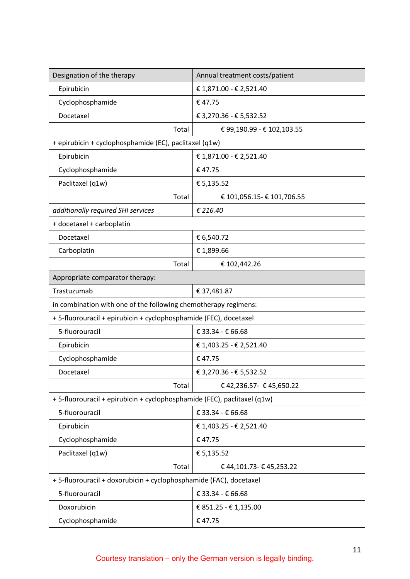| Designation of the therapy                                               | Annual treatment costs/patient |  |  |  |  |
|--------------------------------------------------------------------------|--------------------------------|--|--|--|--|
| Epirubicin                                                               | € 1,871.00 - € 2,521.40        |  |  |  |  |
| Cyclophosphamide                                                         | €47.75                         |  |  |  |  |
| Docetaxel                                                                | € 3,270.36 - € 5,532.52        |  |  |  |  |
| Total                                                                    | € 99,190.99 - € 102,103.55     |  |  |  |  |
| + epirubicin + cyclophosphamide (EC), paclitaxel (q1w)                   |                                |  |  |  |  |
| Epirubicin                                                               | € 1,871.00 - € 2,521.40        |  |  |  |  |
| Cyclophosphamide                                                         | €47.75                         |  |  |  |  |
| Paclitaxel (q1w)                                                         | € 5,135.52                     |  |  |  |  |
| Total                                                                    | € 101,056.15- € 101,706.55     |  |  |  |  |
| additionally required SHI services                                       | € 216.40                       |  |  |  |  |
| + docetaxel + carboplatin                                                |                                |  |  |  |  |
| Docetaxel                                                                | € 6,540.72                     |  |  |  |  |
| Carboplatin                                                              | € 1,899.66                     |  |  |  |  |
| Total                                                                    | € 102,442.26                   |  |  |  |  |
| Appropriate comparator therapy:                                          |                                |  |  |  |  |
| Trastuzumab                                                              | € 37,481.87                    |  |  |  |  |
| in combination with one of the following chemotherapy regimens:          |                                |  |  |  |  |
| +5-fluorouracil + epirubicin + cyclophosphamide (FEC), docetaxel         |                                |  |  |  |  |
| 5-fluorouracil                                                           | € 33.34 - € 66.68              |  |  |  |  |
| Epirubicin                                                               | € 1,403.25 - € 2,521.40        |  |  |  |  |
| Cyclophosphamide                                                         | €47.75                         |  |  |  |  |
| Docetaxel                                                                | € 3,270.36 - € 5,532.52        |  |  |  |  |
| Total                                                                    | €42,236.57- €45,650.22         |  |  |  |  |
| + 5-fluorouracil + epirubicin + cyclophosphamide (FEC), paclitaxel (q1w) |                                |  |  |  |  |
| 5-fluorouracil                                                           | € 33.34 - € 66.68              |  |  |  |  |
| Epirubicin                                                               | € 1,403.25 - € 2,521.40        |  |  |  |  |
| Cyclophosphamide                                                         | €47.75                         |  |  |  |  |
| Paclitaxel (q1w)                                                         | € 5,135.52                     |  |  |  |  |
| Total<br>€ 44,101.73- € 45,253.22                                        |                                |  |  |  |  |
| +5-fluorouracil + doxorubicin + cyclophosphamide (FAC), docetaxel        |                                |  |  |  |  |
| 5-fluorouracil                                                           | € 33.34 - € 66.68              |  |  |  |  |
| Doxorubicin                                                              | € 851.25 - € 1,135.00          |  |  |  |  |
| Cyclophosphamide                                                         | €47.75                         |  |  |  |  |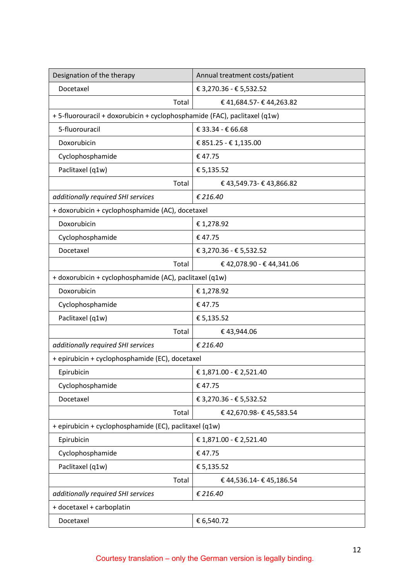| Designation of the therapy                                                | Annual treatment costs/patient |  |  |  |
|---------------------------------------------------------------------------|--------------------------------|--|--|--|
| Docetaxel                                                                 | € 3,270.36 - € 5,532.52        |  |  |  |
| Total                                                                     | € 41,684.57- € 44,263.82       |  |  |  |
| + 5-fluorouracil + doxorubicin + cyclophosphamide (FAC), paclitaxel (q1w) |                                |  |  |  |
| 5-fluorouracil                                                            | € 33.34 - € 66.68              |  |  |  |
| Doxorubicin                                                               | € 851.25 - € 1,135.00          |  |  |  |
| Cyclophosphamide                                                          | €47.75                         |  |  |  |
| Paclitaxel (q1w)                                                          | € 5,135.52                     |  |  |  |
| Total                                                                     | € 43,549.73- € 43,866.82       |  |  |  |
| additionally required SHI services                                        | € 216.40                       |  |  |  |
| + doxorubicin + cyclophosphamide (AC), docetaxel                          |                                |  |  |  |
| Doxorubicin                                                               | € 1,278.92                     |  |  |  |
| Cyclophosphamide                                                          | €47.75                         |  |  |  |
| Docetaxel                                                                 | € 3,270.36 - € 5,532.52        |  |  |  |
| Total                                                                     | € 42,078.90 - € 44,341.06      |  |  |  |
| + doxorubicin + cyclophosphamide (AC), paclitaxel (q1w)                   |                                |  |  |  |
| Doxorubicin                                                               | € 1,278.92                     |  |  |  |
| Cyclophosphamide                                                          | €47.75                         |  |  |  |
| Paclitaxel (q1w)                                                          | € 5,135.52                     |  |  |  |
| Total                                                                     | €43,944.06                     |  |  |  |
| additionally required SHI services                                        | € 216.40                       |  |  |  |
| + epirubicin + cyclophosphamide (EC), docetaxel                           |                                |  |  |  |
| Epirubicin                                                                | € 1,871.00 - € 2,521.40        |  |  |  |
| Cyclophosphamide                                                          | €47.75                         |  |  |  |
| Docetaxel                                                                 | € 3,270.36 - € 5,532.52        |  |  |  |
| Total                                                                     | €42,670.98-€45,583.54          |  |  |  |
| + epirubicin + cyclophosphamide (EC), paclitaxel (q1w)                    |                                |  |  |  |
| Epirubicin                                                                | € 1,871.00 - € 2,521.40        |  |  |  |
| Cyclophosphamide                                                          | €47.75                         |  |  |  |
| Paclitaxel (q1w)                                                          | € 5,135.52                     |  |  |  |
| Total                                                                     | € 44,536.14- € 45,186.54       |  |  |  |
| additionally required SHI services                                        | € 216.40                       |  |  |  |
| + docetaxel + carboplatin                                                 |                                |  |  |  |
| Docetaxel                                                                 | € 6,540.72                     |  |  |  |